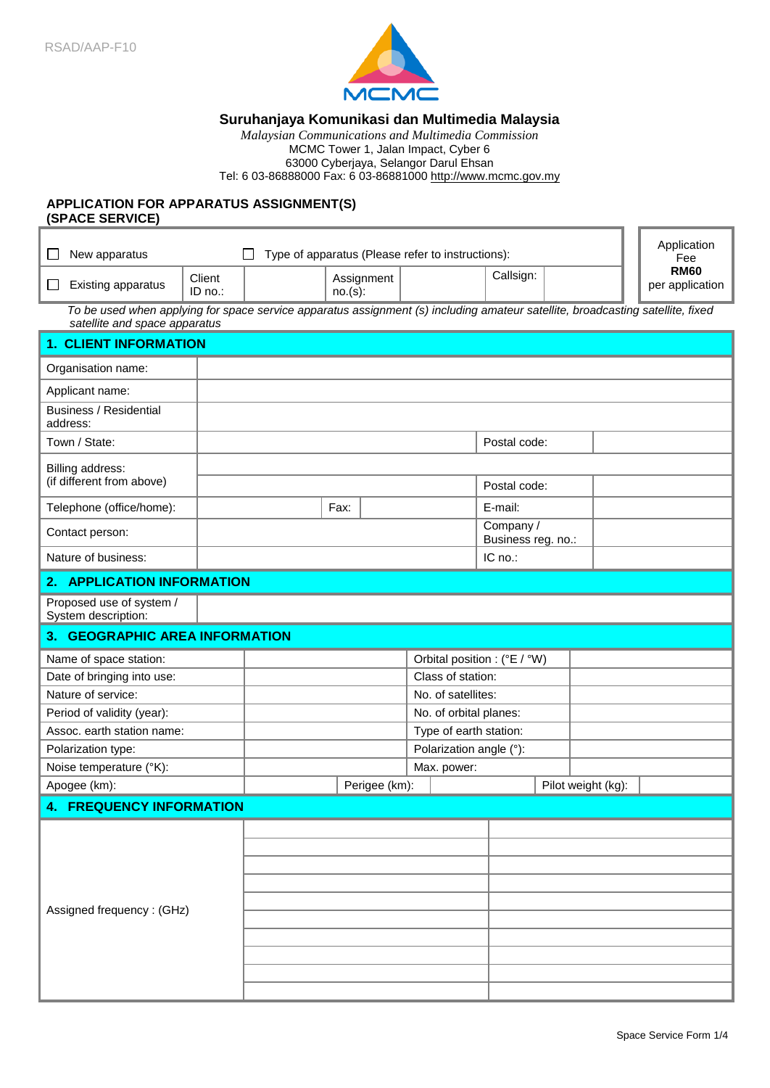

# **Suruhanjaya Komunikasi dan Multimedia Malaysia**

*Malaysian Communications and Multimedia Commission* MCMC Tower 1, Jalan Impact, Cyber 6 63000 Cyberjaya, Selangor Darul Ehsan Tel: 6 03-86888000 Fax: 6 03-86881000 http://www.mcmc.gov.my

# **APPLICATION FOR APPARATUS ASSIGNMENT(S) (SPACE SERVICE)**

| New apparatus<br>$\mathsf{L}$                                                                                                                                   |                                | Type of apparatus (Please refer to instructions): |      |               |           |                                 | Application<br>Fee           |  |                                |  |
|-----------------------------------------------------------------------------------------------------------------------------------------------------------------|--------------------------------|---------------------------------------------------|------|---------------|-----------|---------------------------------|------------------------------|--|--------------------------------|--|
| Existing apparatus<br>⊔                                                                                                                                         | Client<br>ID no.:              | Assignment<br>no.(s):                             |      |               | Callsign: |                                 |                              |  | <b>RM60</b><br>per application |  |
| To be used when applying for space service apparatus assignment (s) including amateur satellite, broadcasting satellite, fixed<br>satellite and space apparatus |                                |                                                   |      |               |           |                                 |                              |  |                                |  |
| <b>1. CLIENT INFORMATION</b>                                                                                                                                    |                                |                                                   |      |               |           |                                 |                              |  |                                |  |
| Organisation name:                                                                                                                                              |                                |                                                   |      |               |           |                                 |                              |  |                                |  |
| Applicant name:                                                                                                                                                 |                                |                                                   |      |               |           |                                 |                              |  |                                |  |
| <b>Business / Residential</b><br>address:                                                                                                                       |                                |                                                   |      |               |           |                                 |                              |  |                                |  |
| Town / State:                                                                                                                                                   |                                | Postal code:                                      |      |               |           |                                 |                              |  |                                |  |
| Billing address:                                                                                                                                                |                                |                                                   |      |               |           |                                 |                              |  |                                |  |
| (if different from above)                                                                                                                                       |                                |                                                   |      |               |           |                                 | Postal code:                 |  |                                |  |
| Telephone (office/home):                                                                                                                                        |                                |                                                   | Fax: |               |           |                                 | E-mail:                      |  |                                |  |
| Contact person:                                                                                                                                                 |                                |                                                   |      |               |           | Company /<br>Business reg. no.: |                              |  |                                |  |
| Nature of business:                                                                                                                                             |                                |                                                   |      |               | IC no.:   |                                 |                              |  |                                |  |
| 2. APPLICATION INFORMATION                                                                                                                                      |                                |                                                   |      |               |           |                                 |                              |  |                                |  |
| Proposed use of system /<br>System description:                                                                                                                 |                                |                                                   |      |               |           |                                 |                              |  |                                |  |
|                                                                                                                                                                 | 3. GEOGRAPHIC AREA INFORMATION |                                                   |      |               |           |                                 |                              |  |                                |  |
| Name of space station:                                                                                                                                          |                                |                                                   |      |               |           |                                 | Orbital position : (°E / °W) |  |                                |  |
| Date of bringing into use:                                                                                                                                      |                                |                                                   |      |               |           | Class of station:               |                              |  |                                |  |
| Nature of service:                                                                                                                                              |                                | No. of satellites:                                |      |               |           |                                 |                              |  |                                |  |
| Period of validity (year):                                                                                                                                      |                                | No. of orbital planes:                            |      |               |           |                                 |                              |  |                                |  |
| Assoc. earth station name:                                                                                                                                      |                                | Type of earth station:                            |      |               |           |                                 |                              |  |                                |  |
| Polarization type:                                                                                                                                              |                                | Polarization angle (°):                           |      |               |           |                                 |                              |  |                                |  |
| Noise temperature (°K):                                                                                                                                         |                                |                                                   |      | Max. power:   |           |                                 |                              |  |                                |  |
| Apogee (km):                                                                                                                                                    |                                |                                                   |      | Perigee (km): |           |                                 |                              |  | Pilot weight (kg):             |  |
| <b>4. FREQUENCY INFORMATION</b>                                                                                                                                 |                                |                                                   |      |               |           |                                 |                              |  |                                |  |
|                                                                                                                                                                 |                                |                                                   |      |               |           |                                 |                              |  |                                |  |
| Assigned frequency: (GHz)                                                                                                                                       |                                |                                                   |      |               |           |                                 |                              |  |                                |  |
|                                                                                                                                                                 |                                |                                                   |      |               |           |                                 |                              |  |                                |  |
|                                                                                                                                                                 |                                |                                                   |      |               |           |                                 |                              |  |                                |  |
|                                                                                                                                                                 |                                |                                                   |      |               |           |                                 |                              |  |                                |  |
|                                                                                                                                                                 |                                |                                                   |      |               |           |                                 |                              |  |                                |  |
|                                                                                                                                                                 |                                |                                                   |      |               |           |                                 |                              |  |                                |  |
|                                                                                                                                                                 |                                |                                                   |      |               |           |                                 |                              |  |                                |  |
|                                                                                                                                                                 |                                |                                                   |      |               |           |                                 |                              |  |                                |  |
|                                                                                                                                                                 |                                |                                                   |      |               |           |                                 |                              |  |                                |  |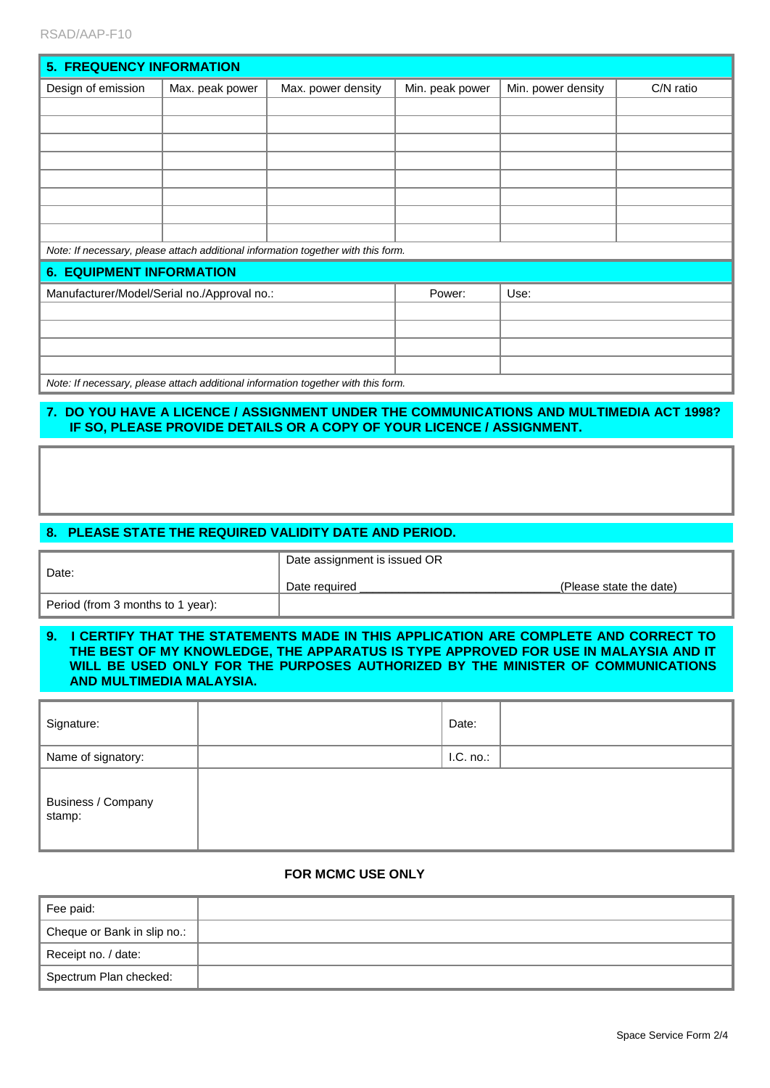| <b>5. FREQUENCY INFORMATION</b>                                                   |                 |                    |                 |                    |           |  |
|-----------------------------------------------------------------------------------|-----------------|--------------------|-----------------|--------------------|-----------|--|
| Design of emission                                                                | Max. peak power | Max. power density | Min. peak power | Min. power density | C/N ratio |  |
|                                                                                   |                 |                    |                 |                    |           |  |
|                                                                                   |                 |                    |                 |                    |           |  |
|                                                                                   |                 |                    |                 |                    |           |  |
|                                                                                   |                 |                    |                 |                    |           |  |
|                                                                                   |                 |                    |                 |                    |           |  |
|                                                                                   |                 |                    |                 |                    |           |  |
|                                                                                   |                 |                    |                 |                    |           |  |
| Note: If necessary, please attach additional information together with this form. |                 |                    |                 |                    |           |  |
| <b>6. EQUIPMENT INFORMATION</b>                                                   |                 |                    |                 |                    |           |  |
| Manufacturer/Model/Serial no./Approval no.:                                       |                 |                    | Power:          | Use:               |           |  |
|                                                                                   |                 |                    |                 |                    |           |  |
|                                                                                   |                 |                    |                 |                    |           |  |
|                                                                                   |                 |                    |                 |                    |           |  |
| Note: If necessary, please attach additional information together with this form. |                 |                    |                 |                    |           |  |

# **7. DO YOU HAVE A LICENCE / ASSIGNMENT UNDER THE COMMUNICATIONS AND MULTIMEDIA ACT 1998? IF SO, PLEASE PROVIDE DETAILS OR A COPY OF YOUR LICENCE / ASSIGNMENT.**

# **8. PLEASE STATE THE REQUIRED VALIDITY DATE AND PERIOD.**

| Date:                             | Date assignment is issued OR |                         |  |  |  |  |
|-----------------------------------|------------------------------|-------------------------|--|--|--|--|
|                                   | Date required                | (Please state the date) |  |  |  |  |
| Period (from 3 months to 1 year): |                              |                         |  |  |  |  |

### **9. I CERTIFY THAT THE STATEMENTS MADE IN THIS APPLICATION ARE COMPLETE AND CORRECT TO THE BEST OF MY KNOWLEDGE, THE APPARATUS IS TYPE APPROVED FOR USE IN MALAYSIA AND IT WILL BE USED ONLY FOR THE PURPOSES AUTHORIZED BY THE MINISTER OF COMMUNICATIONS AND MULTIMEDIA MALAYSIA.**

| Signature:                   | Date:        |  |
|------------------------------|--------------|--|
| Name of signatory:           | $I.C. no.$ : |  |
| Business / Company<br>stamp: |              |  |

### **FOR MCMC USE ONLY**

| Fee paid:                   |  |
|-----------------------------|--|
| Cheque or Bank in slip no.: |  |
| Receipt no. / date:         |  |
| Spectrum Plan checked:      |  |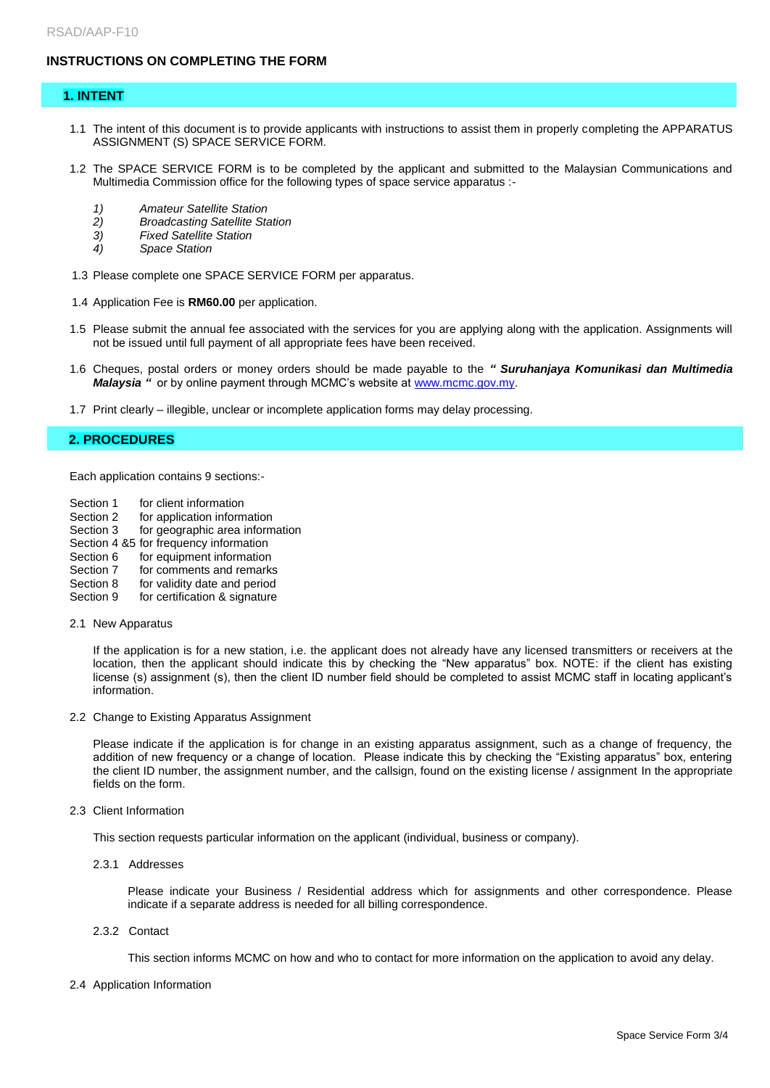# **INSTRUCTIONS ON COMPLETING THE FORM**

#### **1. INTENT**

- 1.1 The intent of this document is to provide applicants with instructions to assist them in properly completing the APPARATUS ASSIGNMENT (S) SPACE SERVICE FORM.
- 1.2 The SPACE SERVICE FORM is to be completed by the applicant and submitted to the Malaysian Communications and Multimedia Commission office for the following types of space service apparatus :-
	- *1) Amateur Satellite Station*
	- *2) Broadcasting Satellite Station*
	- *Fixed Satellite Station*
	- *4) Space Station*
- 1.3 Please complete one SPACE SERVICE FORM per apparatus.
- 1.4 Application Fee is **RM60.00** per application.
- 1.5 Please submit the annual fee associated with the services for you are applying along with the application. Assignments will not be issued until full payment of all appropriate fees have been received.
- 1.6 Cheques, postal orders or money orders should be made payable to the *" Suruhanjaya Komunikasi dan Multimedia Malaysia* " or by online payment through MCMC's website a[t www.mcmc.gov.my.](http://www.mcmc.gov.my/)
- 1.7 Print clearly illegible, unclear or incomplete application forms may delay processing.

#### **2. PROCEDURES**

Each application contains 9 sections:-

- Section 1 for client information
- Section 2 for application information<br>Section 3 for geographic area inform
- for geographic area information
- Section 4 &5 for frequency information
- Section 6 for equipment information
- Section 7 for comments and remarks
- Section 8 for validity date and period
- Section 9 for certification & signature
- 2.1 New Apparatus

If the application is for a new station, i.e. the applicant does not already have any licensed transmitters or receivers at the location, then the applicant should indicate this by checking the "New apparatus" box. NOTE: if the client has existing license (s) assignment (s), then the client ID number field should be completed to assist MCMC staff in locating applicant's information.

2.2 Change to Existing Apparatus Assignment

Please indicate if the application is for change in an existing apparatus assignment, such as a change of frequency, the addition of new frequency or a change of location. Please indicate this by checking the "Existing apparatus" box, entering the client ID number, the assignment number, and the callsign, found on the existing license / assignment In the appropriate fields on the form.

2.3 Client Information

This section requests particular information on the applicant (individual, business or company).

2.3.1 Addresses

Please indicate your Business / Residential address which for assignments and other correspondence. Please indicate if a separate address is needed for all billing correspondence.

2.3.2 Contact

This section informs MCMC on how and who to contact for more information on the application to avoid any delay.

2.4 Application Information